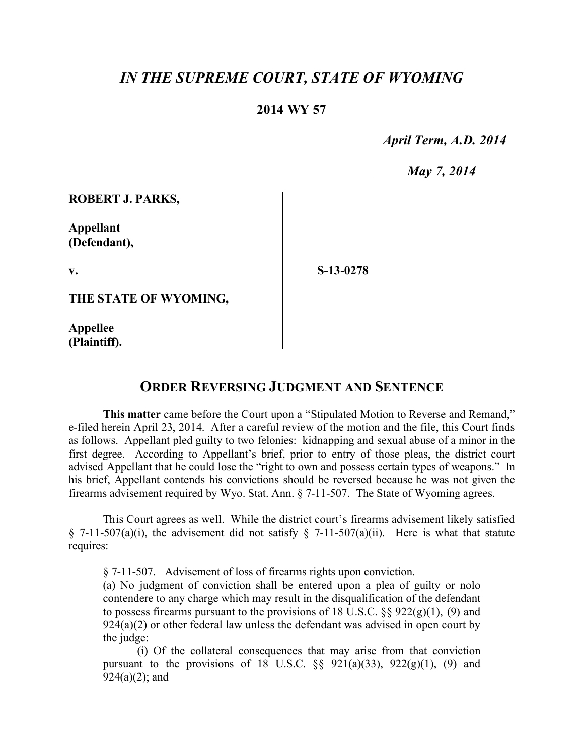## *IN THE SUPREME COURT, STATE OF WYOMING*

## **2014 WY 57**

 *April Term, A.D. 2014*

 *May 7, 2014*

**ROBERT J. PARKS,**

**Appellant (Defendant),**

**v.**

**S-13-0278**

**THE STATE OF WYOMING,**

**Appellee (Plaintiff).**

## **ORDER REVERSING JUDGMENT AND SENTENCE**

**This matter** came before the Court upon a "Stipulated Motion to Reverse and Remand," e-filed herein April 23, 2014. After a careful review of the motion and the file, this Court finds as follows. Appellant pled guilty to two felonies: kidnapping and sexual abuse of a minor in the first degree. According to Appellant's brief, prior to entry of those pleas, the district court advised Appellant that he could lose the "right to own and possess certain types of weapons." In his brief, Appellant contends his convictions should be reversed because he was not given the firearms advisement required by Wyo. Stat. Ann. § 7-11-507. The State of Wyoming agrees.

This Court agrees as well. While the district court's firearms advisement likely satisfied § 7-11-507(a)(i), the advisement did not satisfy § 7-11-507(a)(ii). Here is what that statute requires:

§ 7-11-507. Advisement of loss of firearms rights upon conviction.

(a) No judgment of conviction shall be entered upon a plea of guilty or nolo contendere to any charge which may result in the disqualification of the defendant to possess firearms pursuant to the provisions of 18 U.S.C.  $\S$ § 922(g)(1), (9) and  $924(a)(2)$  or other federal law unless the defendant was advised in open court by the judge:

(i) Of the collateral consequences that may arise from that conviction pursuant to the provisions of 18 U.S.C.  $\S\S$  921(a)(33), 922(g)(1), (9) and  $924(a)(2)$ ; and